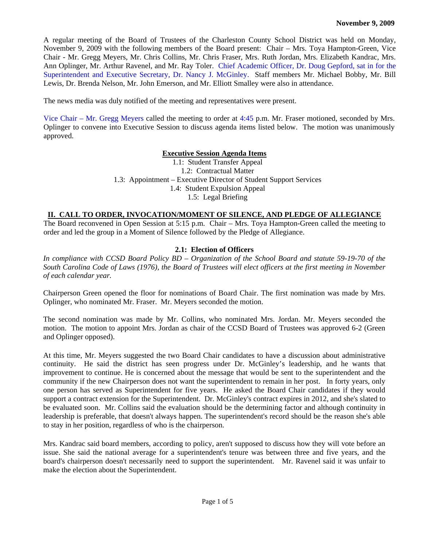A regular meeting of the Board of Trustees of the Charleston County School District was held on Monday, November 9, 2009 with the following members of the Board present: Chair – Mrs. Toya Hampton-Green, Vice Chair - Mr. Gregg Meyers, Mr. Chris Collins, Mr. Chris Fraser, Mrs. Ruth Jordan, Mrs. Elizabeth Kandrac, Mrs. Ann Oplinger, Mr. Arthur Ravenel, and Mr. Ray Toler. Chief Academic Officer, Dr. Doug Gepford, sat in for the Superintendent and Executive Secretary, Dr. Nancy J. McGinley. Staff members Mr. Michael Bobby, Mr. Bill Lewis, Dr. Brenda Nelson, Mr. John Emerson, and Mr. Elliott Smalley were also in attendance.

The news media was duly notified of the meeting and representatives were present.

Vice Chair – Mr. Gregg Meyers called the meeting to order at 4:45 p.m. Mr. Fraser motioned, seconded by Mrs. Oplinger to convene into Executive Session to discuss agenda items listed below. The motion was unanimously approved.

#### **Executive Session Agenda Items**

1.1: Student Transfer Appeal 1.2: Contractual Matter 1.3: Appointment – Executive Director of Student Support Services 1.4: Student Expulsion Appeal 1.5: Legal Briefing

#### **II. CALL TO ORDER, INVOCATION/MOMENT OF SILENCE, AND PLEDGE OF ALLEGIANCE**

The Board reconvened in Open Session at 5:15 p.m. Chair – Mrs. Toya Hampton-Green called the meeting to order and led the group in a Moment of Silence followed by the Pledge of Allegiance.

#### **2.1: Election of Officers**

*In compliance with CCSD Board Policy BD – Organization of the School Board and statute 59-19-70 of the South Carolina Code of Laws (1976), the Board of Trustees will elect officers at the first meeting in November of each calendar year.* 

Chairperson Green opened the floor for nominations of Board Chair. The first nomination was made by Mrs. Oplinger, who nominated Mr. Fraser. Mr. Meyers seconded the motion.

The second nomination was made by Mr. Collins, who nominated Mrs. Jordan. Mr. Meyers seconded the motion. The motion to appoint Mrs. Jordan as chair of the CCSD Board of Trustees was approved 6-2 (Green and Oplinger opposed).

At this time, Mr. Meyers suggested the two Board Chair candidates to have a discussion about administrative continuity. He said the district has seen progress under Dr. McGinley's leadership, and he wants that improvement to continue. He is concerned about the message that would be sent to the superintendent and the community if the new Chairperson does not want the superintendent to remain in her post. In forty years, only one person has served as Superintendent for five years. He asked the Board Chair candidates if they would support a contract extension for the Superintendent. Dr. McGinley's contract expires in 2012, and she's slated to be evaluated soon. Mr. Collins said the evaluation should be the determining factor and although continuity in leadership is preferable, that doesn't always happen. The superintendent's record should be the reason she's able to stay in her position, regardless of who is the chairperson.

Mrs. Kandrac said board members, according to policy, aren't supposed to discuss how they will vote before an issue. She said the national average for a superintendent's tenure was between three and five years, and the board's chairperson doesn't necessarily need to support the superintendent. Mr. Ravenel said it was unfair to make the election about the Superintendent.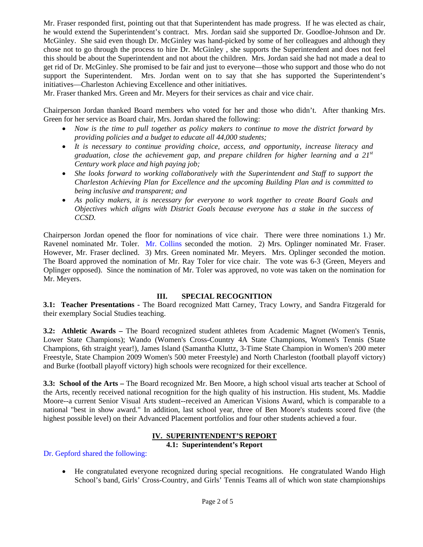Mr. Fraser responded first, pointing out that that Superintendent has made progress. If he was elected as chair, he would extend the Superintendent's contract. Mrs. Jordan said she supported Dr. Goodloe-Johnson and Dr. McGinley. She said even though Dr. McGinley was hand-picked by some of her colleagues and although they chose not to go through the process to hire Dr. McGinley , she supports the Superintendent and does not feel this should be about the Superintendent and not about the children. Mrs. Jordan said she had not made a deal to get rid of Dr. McGinley. She promised to be fair and just to everyone—those who support and those who do not support the Superintendent. Mrs. Jordan went on to say that she has supported the Superintendent's initiatives—Charleston Achieving Excellence and other initiatives.

Mr. Fraser thanked Mrs. Green and Mr. Meyers for their services as chair and vice chair.

Chairperson Jordan thanked Board members who voted for her and those who didn't. After thanking Mrs. Green for her service as Board chair, Mrs. Jordan shared the following:

- *Now is the time to pull together as policy makers to continue to move the district forward by providing policies and a budget to educate all 44,000 students;*
- *It is necessary to continue providing choice, access, and opportunity, increase literacy and graduation, close the achievement gap, and prepare children for higher learning and a 21st Century work place and high paying job;*
- She looks forward to working collaboratively with the Superintendent and Staff to support the *Charleston Achieving Plan for Excellence and the upcoming Building Plan and is committed to being inclusive and transparent; and*
- *As policy makers, it is necessary for everyone to work together to create Board Goals and Objectives which aligns with District Goals because everyone has a stake in the success of CCSD.*

Chairperson Jordan opened the floor for nominations of vice chair. There were three nominations 1.) Mr. Ravenel nominated Mr. Toler. Mr. Collins seconded the motion. 2) Mrs. Oplinger nominated Mr. Fraser. However, Mr. Fraser declined. 3) Mrs. Green nominated Mr. Meyers. Mrs. Oplinger seconded the motion. The Board approved the nomination of Mr. Ray Toler for vice chair. The vote was 6-3 (Green, Meyers and Oplinger opposed). Since the nomination of Mr. Toler was approved, no vote was taken on the nomination for Mr. Meyers.

## **III. SPECIAL RECOGNITION**

**3.1: Teacher Presentations -** The Board recognized Matt Carney, Tracy Lowry, and Sandra Fitzgerald for their exemplary Social Studies teaching.

**3.2: Athletic Awards –** The Board recognized student athletes from Academic Magnet (Women's Tennis, Lower State Champions); Wando (Women's Cross-Country 4A State Champions, Women's Tennis (State Champions, 6th straight year!), James Island (Samantha Kluttz, 3-Time State Champion in Women's 200 meter Freestyle, State Champion 2009 Women's 500 meter Freestyle) and North Charleston (football playoff victory) and Burke (football playoff victory) high schools were recognized for their excellence.

**3.3: School of the Arts –** The Board recognized Mr. Ben Moore, a high school visual arts teacher at School of the Arts, recently received national recognition for the high quality of his instruction. His student, Ms. Maddie Moore--a current Senior Visual Arts student--received an American Visions Award, which is comparable to a national "best in show award." In addition, last school year, three of Ben Moore's students scored five (the highest possible level) on their Advanced Placement portfolios and four other students achieved a four.

# **IV. SUPERINTENDENT'S REPORT**

#### **4.1: Superintendent's Report**

Dr. Gepford shared the following:

 He congratulated everyone recognized during special recognitions. He congratulated Wando High School's band, Girls' Cross-Country, and Girls' Tennis Teams all of which won state championships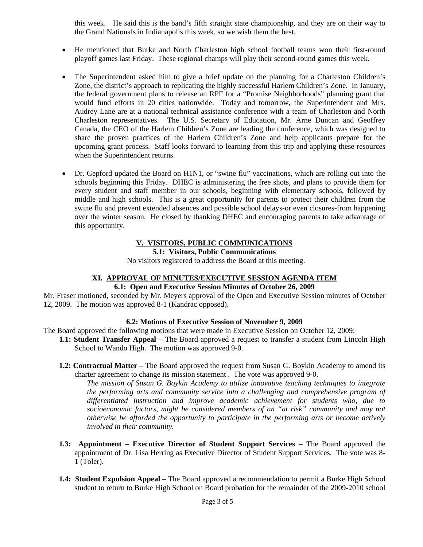this week. He said this is the band's fifth straight state championship, and they are on their way to the Grand Nationals in Indianapolis this week, so we wish them the best.

- He mentioned that Burke and North Charleston high school football teams won their first-round playoff games last Friday. These regional champs will play their second-round games this week.
- The Superintendent asked him to give a brief update on the planning for a Charleston Children's Zone, the district's approach to replicating the highly successful Harlem Children's Zone. In January, the federal government plans to release an RPF for a "Promise Neighborhoods" planning grant that would fund efforts in 20 cities nationwide. Today and tomorrow, the Superintendent and Mrs. Audrey Lane are at a national technical assistance conference with a team of Charleston and North Charleston representatives. The U.S. Secretary of Education, Mr. Arne Duncan and Geoffrey Canada, the CEO of the Harlem Children's Zone are leading the conference, which was designed to share the proven practices of the Harlem Children's Zone and help applicants prepare for the upcoming grant process. Staff looks forward to learning from this trip and applying these resources when the Superintendent returns.
- Dr. Gepford updated the Board on H1N1, or "swine flu" vaccinations, which are rolling out into the schools beginning this Friday. DHEC is administering the free shots, and plans to provide them for every student and staff member in our schools, beginning with elementary schools, followed by middle and high schools. This is a great opportunity for parents to protect their children from the swine flu and prevent extended absences and possible school delays-or even closures-from happening over the winter season. He closed by thanking DHEC and encouraging parents to take advantage of this opportunity.

#### **V. VISITORS, PUBLIC COMMUNICATIONS 5.1: Visitors, Public Communications**

No visitors registered to address the Board at this meeting.

#### **XI. APPROVAL OF MINUTES/EXECUTIVE SESSION AGENDA ITEM 6.1: Open and Executive Session Minutes of October 26, 2009**

Mr. Fraser motioned, seconded by Mr. Meyers approval of the Open and Executive Session minutes of October 12, 2009. The motion was approved 8-1 (Kandrac opposed).

#### **6.2: Motions of Executive Session of November 9, 2009**

The Board approved the following motions that were made in Executive Session on October 12, 2009:

- **1.1: Student Transfer Appeal**  The Board approved a request to transfer a student from Lincoln High School to Wando High. The motion was approved 9-0.
- **1.2: Contractual Matter** The Board approved the request from Susan G. Boykin Academy to amend its charter agreement to change its mission statement . The vote was approved 9-0.

*The mission of Susan G. Boykin Academy to utilize innovative teaching techniques to integrate the performing arts and community service into a challenging and comprehensive program of differentiated instruction and improve academic achievement for students who, due to socioeconomic factors, might be considered members of an "at risk" community and may not otherwise be afforded the opportunity to participate in the performing arts or become actively involved in their community.* 

- **1.3: Appointment Executive Director of Student Support Services The Board approved the** appointment of Dr. Lisa Herring as Executive Director of Student Support Services. The vote was 8- 1 (Toler).
- **1.4: Student Expulsion Appeal** The Board approved a recommendation to permit a Burke High School student to return to Burke High School on Board probation for the remainder of the 2009-2010 school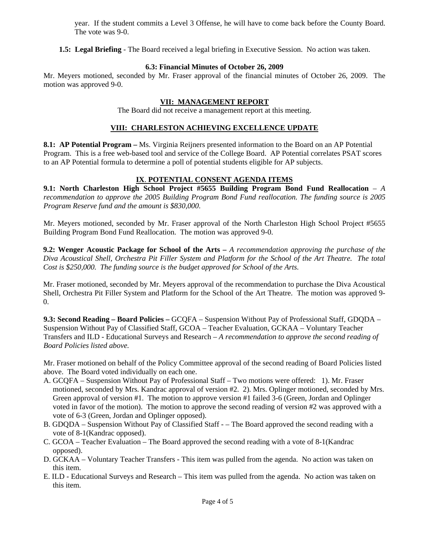year. If the student commits a Level 3 Offense, he will have to come back before the County Board. The vote was 9-0.

**1.5: Legal Briefing** - The Board received a legal briefing in Executive Session. No action was taken.

## **6.3: Financial Minutes of October 26, 2009**

Mr. Meyers motioned, seconded by Mr. Fraser approval of the financial minutes of October 26, 2009. The motion was approved 9-0.

## **VII: MANAGEMENT REPORT**

The Board did not receive a management report at this meeting.

### **VIII: CHARLESTON ACHIEVING EXCELLENCE UPDATE**

**8.1: AP Potential Program –** Ms. Virginia Reijners presented information to the Board on an AP Potential Program. This is a free web-based tool and service of the College Board. AP Potential correlates PSAT scores to an AP Potential formula to determine a poll of potential students eligible for AP subjects.

## **IX**. **POTENTIAL CONSENT AGENDA ITEMS**

**9.1: North Charleston High School Project #5655 Building Program Bond Fund Reallocation** – *A recommendation to approve the 2005 Building Program Bond Fund reallocation. The funding source is 2005 Program Reserve fund and the amount is \$830,000*.

Mr. Meyers motioned, seconded by Mr. Fraser approval of the North Charleston High School Project #5655 Building Program Bond Fund Reallocation. The motion was approved 9-0.

**9.2: Wenger Acoustic Package for School of the Arts –** *A recommendation approving the purchase of the Diva Acoustical Shell, Orchestra Pit Filler System and Platform for the School of the Art Theatre. The total Cost is \$250,000. The funding source is the budget approved for School of the Arts.* 

Mr. Fraser motioned, seconded by Mr. Meyers approval of the recommendation to purchase the Diva Acoustical Shell, Orchestra Pit Filler System and Platform for the School of the Art Theatre. The motion was approved 9- 0.

**9.3: Second Reading – Board Policies –** GCQFA – Suspension Without Pay of Professional Staff, GDQDA – Suspension Without Pay of Classified Staff, GCOA – Teacher Evaluation, GCKAA – Voluntary Teacher Transfers and ILD - Educational Surveys and Research – *A recommendation to approve the second reading of Board Policies listed above.* 

Mr. Fraser motioned on behalf of the Policy Committee approval of the second reading of Board Policies listed above. The Board voted individually on each one.

- A. GCQFA Suspension Without Pay of Professional Staff Two motions were offered: 1). Mr. Fraser motioned, seconded by Mrs. Kandrac approval of version #2. 2). Mrs. Oplinger motioned, seconded by Mrs. Green approval of version #1. The motion to approve version #1 failed 3-6 (Green, Jordan and Oplinger voted in favor of the motion). The motion to approve the second reading of version #2 was approved with a vote of 6-3 (Green, Jordan and Oplinger opposed).
- B. GDQDA Suspension Without Pay of Classified Staff – The Board approved the second reading with a vote of 8-1(Kandrac opposed).
- C. GCOA Teacher Evaluation The Board approved the second reading with a vote of 8-1(Kandrac opposed).
- D. GCKAA Voluntary Teacher Transfers This item was pulled from the agenda. No action was taken on this item.
- E. ILD Educational Surveys and Research This item was pulled from the agenda. No action was taken on this item.